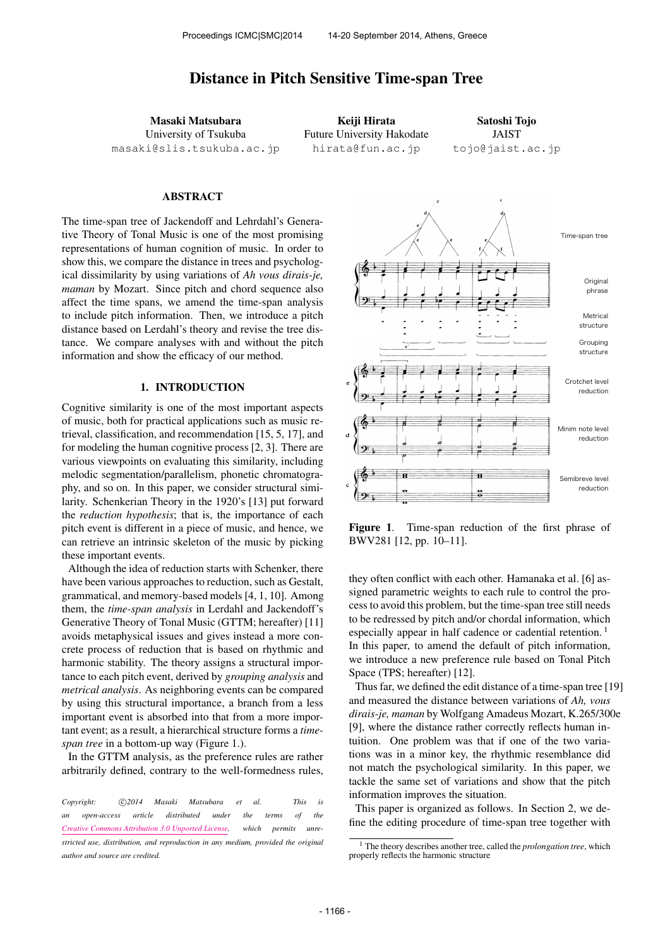# Distance in Pitch Sensitive Time-span Tree

Masaki Matsubara University of Tsukuba [masaki@slis.tsukuba.ac.jp](mailto:masaki@slis.tsukuba.ac.jp)

Keiji Hirata Future University Hakodate [hirata@fun.ac.jp](mailto:hirata@fun.ac.jp)

Satoshi Tojo JAIST [tojo@jaist.ac.jp](mailto:tojo@jaist.ac.jp)

#### ABSTRACT

The time-span tree of Jackendoff and Lehrdahl's Generative Theory of Tonal Music is one of the most promising representations of human cognition of music. In order to show this, we compare the distance in trees and psychological dissimilarity by using variations of *Ah vous dirais-je, maman* by Mozart. Since pitch and chord sequence also affect the time spans, we amend the time-span analysis to include pitch information. Then, we introduce a pitch distance based on Lerdahl's theory and revise the tree distance. We compare analyses with and without the pitch information and show the efficacy of our method.

# 1. INTRODUCTION

Cognitive similarity is one of the most important aspects of music, both for practical applications such as music retrieval, classification, and recommendation [15, 5, 17], and for modeling the human cognitive process [2, 3]. There are various viewpoints on evaluating this similarity, including melodic segmentation/parallelism, phonetic chromatography, and so on. In this paper, we consider structural similarity. Schenkerian Theory in the 1920's [13] put forward the *reduction hypothesis*; that is, the importance of each pitch event is different in a piece of music, and hence, we can retrieve an intrinsic skeleton of the music by picking these important events.

Although the idea of reduction starts with Schenker, there have been various approaches to reduction, such as Gestalt, grammatical, and memory-based models [4, 1, 10]. Among them, the *time-span analysis* in Lerdahl and Jackendoff's Generative Theory of Tonal Music (GTTM; hereafter) [11] avoids metaphysical issues and gives instead a more concrete process of reduction that is based on rhythmic and harmonic stability. The theory assigns a structural importance to each pitch event, derived by *grouping analysis* and *metrical analysis*. As neighboring events can be compared by using this structural importance, a branch from a less important event is absorbed into that from a more important event; as a result, a hierarchical structure forms a *timespan tree* in a bottom-up way (Figure 1.).

In the GTTM analysis, as the preference rules are rather arbitrarily defined, contrary to the well-formedness rules,



Figure 1. Time-span reduction of the first phrase of BWV281 [12, pp. 10–11].

they often conflict with each other. Hamanaka et al. [6] assigned parametric weights to each rule to control the process to avoid this problem, but the time-span tree still needs to be redressed by pitch and/or chordal information, which especially appear in half cadence or cadential retention.<sup>1</sup> In this paper, to amend the default of pitch information, we introduce a new preference rule based on Tonal Pitch Space (TPS; hereafter) [12].

Thus far, we defined the edit distance of a time-span tree [19] and measured the distance between variations of *Ah, vous dirais-je, maman* by Wolfgang Amadeus Mozart, K.265/300e [9], where the distance rather correctly reflects human intuition. One problem was that if one of the two variations was in a minor key, the rhythmic resemblance did not match the psychological similarity. In this paper, we tackle the same set of variations and show that the pitch information improves the situation.

This paper is organized as follows. In Section 2, we define the editing procedure of time-span tree together with

*Copyright:*  $\bigcirc$ 2014 Masaki Matsubara et al. This is *an open-access article distributed under the terms of the [Creative Commons Attribution 3.0 Unported License,](http://creativecommons.org/licenses/by/3.0/) which permits unrestricted use, distribution, and reproduction in any medium, provided the original author and source are credited.*

<sup>1</sup> The theory describes another tree, called the *prolongation tree*, which properly reflects the harmonic structure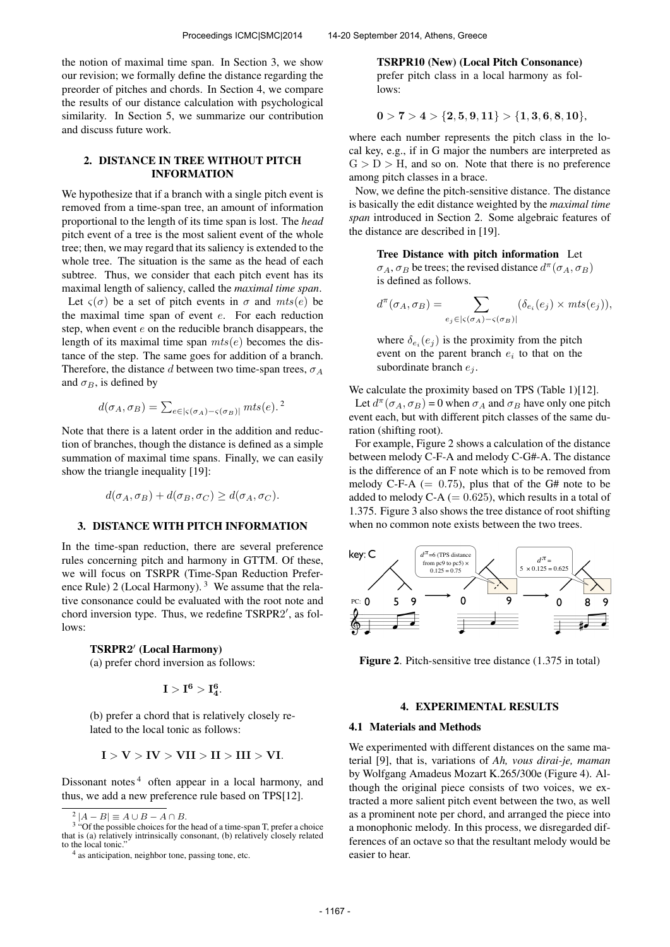the notion of maximal time span. In Section 3, we show our revision; we formally define the distance regarding the preorder of pitches and chords. In Section 4, we compare the results of our distance calculation with psychological similarity. In Section 5, we summarize our contribution and discuss future work.

# 2. DISTANCE IN TREE WITHOUT PITCH INFORMATION

We hypothesize that if a branch with a single pitch event is removed from a time-span tree, an amount of information proportional to the length of its time span is lost. The *head* pitch event of a tree is the most salient event of the whole tree; then, we may regard that its saliency is extended to the whole tree. The situation is the same as the head of each subtree. Thus, we consider that each pitch event has its maximal length of saliency, called the *maximal time span*. Let  $\varsigma(\sigma)$  be a set of pitch events in  $\sigma$  and  $mts(e)$  be the maximal time span of event  $e$ . For each reduction

step, when event  $e$  on the reducible branch disappears, the length of its maximal time span  $mts(e)$  becomes the distance of the step. The same goes for addition of a branch. Therefore, the distance d between two time-span trees,  $\sigma_A$ and  $\sigma_B$ , is defined by

$$
d(\sigma_A, \sigma_B) = \sum_{e \in |\varsigma(\sigma_A) - \varsigma(\sigma_B)|} mts(e).
$$

Note that there is a latent order in the addition and reduction of branches, though the distance is defined as a simple summation of maximal time spans. Finally, we can easily show the triangle inequality [19]:

$$
d(\sigma_A, \sigma_B) + d(\sigma_B, \sigma_C) \ge d(\sigma_A, \sigma_C).
$$

#### 3. DISTANCE WITH PITCH INFORMATION

In the time-span reduction, there are several preference rules concerning pitch and harmony in GTTM. Of these, we will focus on TSRPR (Time-Span Reduction Preference Rule) 2 (Local Harmony).  $3$  We assume that the relative consonance could be evaluated with the root note and chord inversion type. Thus, we redefine TSRPR2', as follows:

# TSRPR2 ′ (Local Harmony)

(a) prefer chord inversion as follows:

$$
I > I^6 > I_4^6.\\
$$

(b) prefer a chord that is relatively closely related to the local tonic as follows:

$$
I > V > IV > VII > II > III > VI.
$$

Dissonant notes  $4$  often appear in a local harmony, and thus, we add a new preference rule based on TPS[12].

TSRPR10 (New) (Local Pitch Consonance) prefer pitch class in a local harmony as follows:

$$
0>7>4>\{2,5,9,11\}>\{1,3,6,8,10\},
$$

where each number represents the pitch class in the local key, e.g., if in G major the numbers are interpreted as  $G > D > H$ , and so on. Note that there is no preference among pitch classes in a brace.

Now, we define the pitch-sensitive distance. The distance is basically the edit distance weighted by the *maximal time span* introduced in Section 2. Some algebraic features of the distance are described in [19].

> Tree Distance with pitch information Let  $\sigma_A$ ,  $\sigma_B$  be trees; the revised distance  $d^{\pi}(\sigma_A, \sigma_B)$

is defined as follows. 
$$
\sum_{x \in \mathcal{X}} f(x) = \frac{1}{2} \sum_{x \in \mathcal{X}} f(x) \cdot \frac{1}{2} \left( \sum_{x \in \mathcal{X}} f(x) \right)^2
$$

$$
d^{\pi}(\sigma_A, \sigma_B) = \sum_{e_j \in |\varsigma(\sigma_A) - \varsigma(\sigma_B)|} (\delta_{e_i}(e_j) \times mts(e_j)),
$$

where  $\delta_{e_i}(e_j)$  is the proximity from the pitch event on the parent branch  $e_i$  to that on the subordinate branch  $e_i$ .

We calculate the proximity based on TPS (Table 1)[12].

Let  $d^{\pi}(\sigma_A, \sigma_B) = 0$  when  $\sigma_A$  and  $\sigma_B$  have only one pitch event each, but with different pitch classes of the same duration (shifting root).

For example, Figure 2 shows a calculation of the distance between melody C-F-A and melody C-G#-A. The distance is the difference of an F note which is to be removed from melody C-F-A  $(= 0.75)$ , plus that of the G# note to be added to melody C-A  $(= 0.625)$ , which results in a total of 1.375. Figure 3 also shows the tree distance of root shifting when no common note exists between the two trees.



Figure 2. Pitch-sensitive tree distance  $(1.375 \text{ in total})$ 

# 4. EXPERIMENTAL RESULTS

#### 4.1 Materials and Methods

We experimented with different distances on the same material [9], that is, variations of *Ah, vous dirai-je, maman* by Wolfgang Amadeus Mozart K.265/300e (Figure 4). Although the original piece consists of two voices, we extracted a more salient pitch event between the two, as well as a prominent note per chord, and arranged the piece into a monophonic melody. In this process, we disregarded differences of an octave so that the resultant melody would be easier to hear.

 $2|A-B| \equiv A \cup B - A \cap B.$ 

<sup>&</sup>lt;sup>3</sup> "Of the possible choices for the head of a time-span T, prefer a choice that is (a) relatively intrinsically consonant, (b) relatively closely related to the local tonic.

<sup>&</sup>lt;sup>4</sup> as anticipation, neighbor tone, passing tone, etc.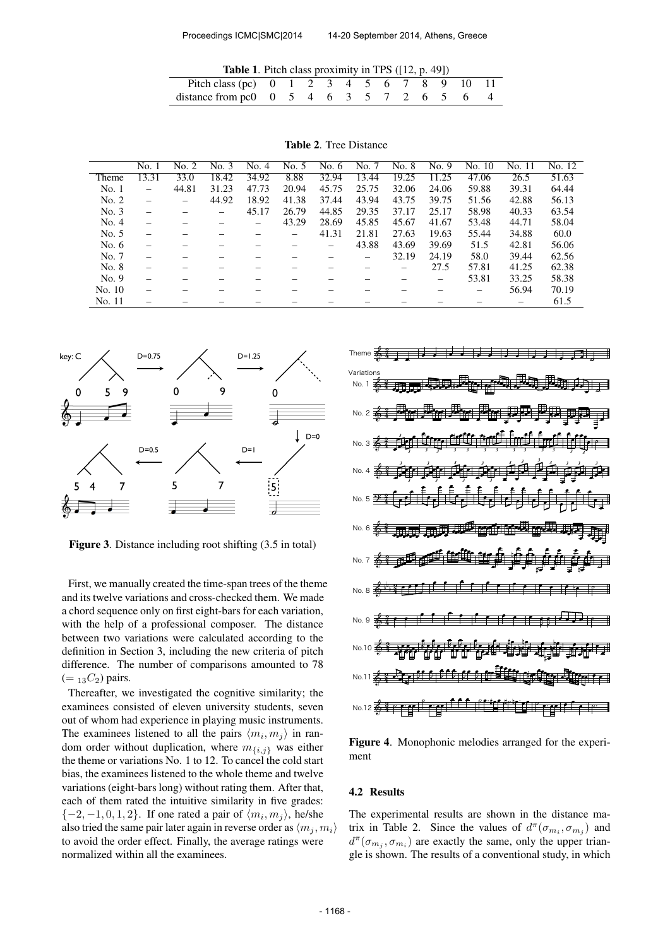| <b>Table 1.</b> Pitch class proximity in TPS $(12, p. 49)$                                             |  |  |  |  |  |  |
|--------------------------------------------------------------------------------------------------------|--|--|--|--|--|--|
| Pitch class (pc) 0 1 2 3 4 5 6 7 8 9 10 11                                                             |  |  |  |  |  |  |
| distance from pc0 $\begin{array}{ccccccccc} 0 & 5 & 4 & 6 & 3 & 5 & 7 & 2 & 6 & 5 & 6 & 4 \end{array}$ |  |  |  |  |  |  |

|         | No. 1 | No. 2 | No. 3 | No. 4 | No. 5 | No. 6 | No. 7 | No. 8 | No. 9 | No. 10 | No. 11 | No. 12 |
|---------|-------|-------|-------|-------|-------|-------|-------|-------|-------|--------|--------|--------|
| Theme   | 13.31 | 33.0  | 18.42 | 34.92 | 8.88  | 32.94 | 13.44 | 19.25 | 11.25 | 47.06  | 26.5   | 51.63  |
| No. 1   |       | 44.81 | 31.23 | 47.73 | 20.94 | 45.75 | 25.75 | 32.06 | 24.06 | 59.88  | 39.31  | 64.44  |
| No. 2   |       | -     | 44.92 | 18.92 | 41.38 | 37.44 | 43.94 | 43.75 | 39.75 | 51.56  | 42.88  | 56.13  |
| No. 3   |       |       |       | 45.17 | 26.79 | 44.85 | 29.35 | 37.17 | 25.17 | 58.98  | 40.33  | 63.54  |
| No. 4   |       |       |       |       | 43.29 | 28.69 | 45.85 | 45.67 | 41.67 | 53.48  | 44.71  | 58.04  |
| No. 5   |       |       |       |       |       | 41.31 | 21.81 | 27.63 | 19.63 | 55.44  | 34.88  | 60.0   |
| No. $6$ |       |       |       |       |       |       | 43.88 | 43.69 | 39.69 | 51.5   | 42.81  | 56.06  |
| No. 7   |       |       |       |       |       |       |       | 32.19 | 24.19 | 58.0   | 39.44  | 62.56  |
| No. 8   |       |       |       |       |       |       |       |       | 27.5  | 57.81  | 41.25  | 62.38  |
| No. 9   |       |       |       |       |       |       |       |       |       | 53.81  | 33.25  | 58.38  |
| No. 10  |       |       |       |       |       |       |       |       |       |        | 56.94  | 70.19  |
| No. 11  |       |       |       |       |       |       |       |       |       |        |        | 61.5   |

Table 2. Tree Distance



Figure 3. Distance including root shifting (3.5 in total)

First, we manually created the time-span trees of the theme and its twelve variations and cross-checked them. We made a chord sequence only on first eight-bars for each variation, with the help of a professional composer. The distance between two variations were calculated according to the definition in Section 3, including the new criteria of pitch difference. The number of comparisons amounted to 78  $(=_{13}C_2)$  pairs.

Thereafter, we investigated the cognitive similarity; the examinees consisted of eleven university students, seven out of whom had experience in playing music instruments. The examinees listened to all the pairs  $\langle m_i, m_j \rangle$  in random order without duplication, where  $m_{\{i,j\}}$  was either the theme or variations No. 1 to 12. To cancel the cold start bias, the examinees listened to the whole theme and twelve variations (eight-bars long) without rating them. After that, each of them rated the intuitive similarity in five grades:  $\{-2, -1, 0, 1, 2\}$ . If one rated a pair of  $\langle m_i, m_j \rangle$ , he/she also tried the same pair later again in reverse order as  $\langle m_i, m_i \rangle$ to avoid the order effect. Finally, the average ratings were normalized within all the examinees.



Figure 4. Monophonic melodies arranged for the experiment

#### 4.2 Results

The experimental results are shown in the distance matrix in Table 2. Since the values of  $d^{\pi}(\sigma_{m_i}, \sigma_{m_j})$  and  $d^{\pi}(\sigma_{m_j}, \sigma_{m_i})$  are exactly the same, only the upper triangle is shown. The results of a conventional study, in which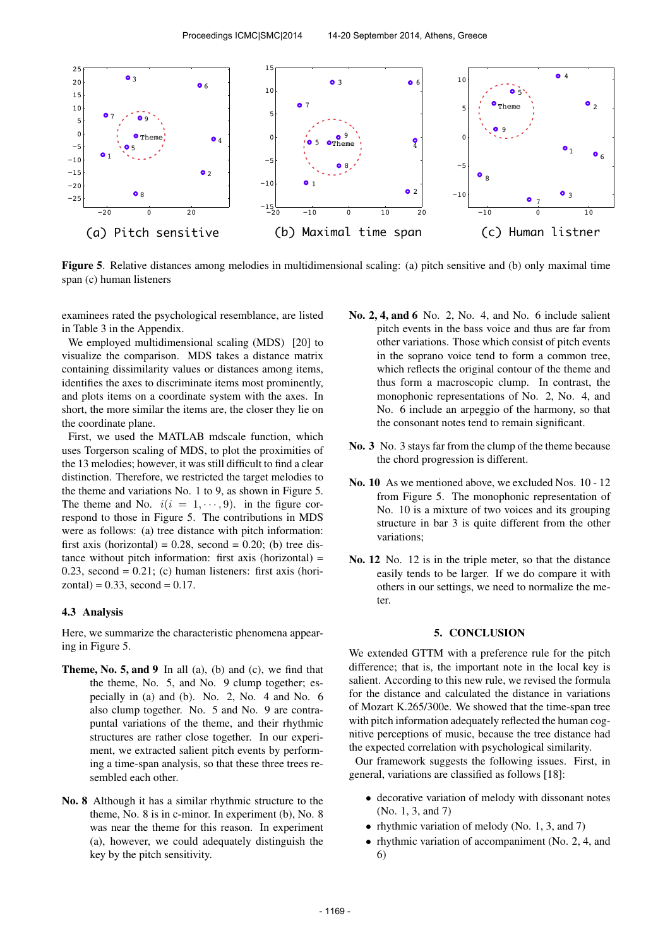

Figure 5. Relative distances among melodies in multidimensional scaling: (a) pitch sensitive and (b) only maximal time span (c) human listeners

examinees rated the psychological resemblance, are listed in Table 3 in the Appendix.

We employed multidimensional scaling (MDS) [20] to visualize the comparison. MDS takes a distance matrix containing dissimilarity values or distances among items, identifies the axes to discriminate items most prominently, and plots items on a coordinate system with the axes. In short, the more similar the items are, the closer they lie on the coordinate plane.

First, we used the MATLAB mdscale function, which uses Torgerson scaling of MDS, to plot the proximities of the 13 melodies; however, it was still difficult to find a clear distinction. Therefore, we restricted the target melodies to the theme and variations No. 1 to 9, as shown in Figure 5. The theme and No.  $i(i = 1, \dots, 9)$ . in the figure correspond to those in Figure 5. The contributions in MDS were as follows: (a) tree distance with pitch information: first axis (horizontal) =  $0.28$ , second =  $0.20$ ; (b) tree distance without pitch information: first axis (horizontal) = 0.23, second =  $0.21$ ; (c) human listeners: first axis (hori $zontal$ ) = 0.33, second = 0.17.

# 4.3 Analysis

Here, we summarize the characteristic phenomena appearing in Figure 5.

- **Theme, No. 5, and 9** In all (a), (b) and (c), we find that the theme, No. 5, and No. 9 clump together; especially in (a) and (b). No. 2, No. 4 and No. 6 also clump together. No. 5 and No. 9 are contrapuntal variations of the theme, and their rhythmic structures are rather close together. In our experiment, we extracted salient pitch events by performing a time-span analysis, so that these three trees resembled each other.
- No. 8 Although it has a similar rhythmic structure to the theme, No. 8 is in c-minor. In experiment (b), No. 8 was near the theme for this reason. In experiment (a), however, we could adequately distinguish the key by the pitch sensitivity.
- No. 2, 4, and 6 No. 2, No. 4, and No. 6 include salient pitch events in the bass voice and thus are far from other variations. Those which consist of pitch events in the soprano voice tend to form a common tree, which reflects the original contour of the theme and thus form a macroscopic clump. In contrast, the monophonic representations of No. 2, No. 4, and No. 6 include an arpeggio of the harmony, so that the consonant notes tend to remain significant.
- No. 3 No. 3 stays far from the clump of the theme because the chord progression is different.
- No. 10 As we mentioned above, we excluded Nos. 10 12 from Figure 5. The monophonic representation of No. 10 is a mixture of two voices and its grouping structure in bar 3 is quite different from the other variations;
- No. 12 No. 12 is in the triple meter, so that the distance easily tends to be larger. If we do compare it with others in our settings, we need to normalize the meter.

# 5. CONCLUSION

We extended GTTM with a preference rule for the pitch difference; that is, the important note in the local key is salient. According to this new rule, we revised the formula for the distance and calculated the distance in variations of Mozart K.265/300e. We showed that the time-span tree with pitch information adequately reflected the human cognitive perceptions of music, because the tree distance had the expected correlation with psychological similarity.

Our framework suggests the following issues. First, in general, variations are classified as follows [18]:

- decorative variation of melody with dissonant notes (No. 1, 3, and 7)
- rhythmic variation of melody (No. 1, 3, and 7)
- rhythmic variation of accompaniment (No. 2, 4, and 6)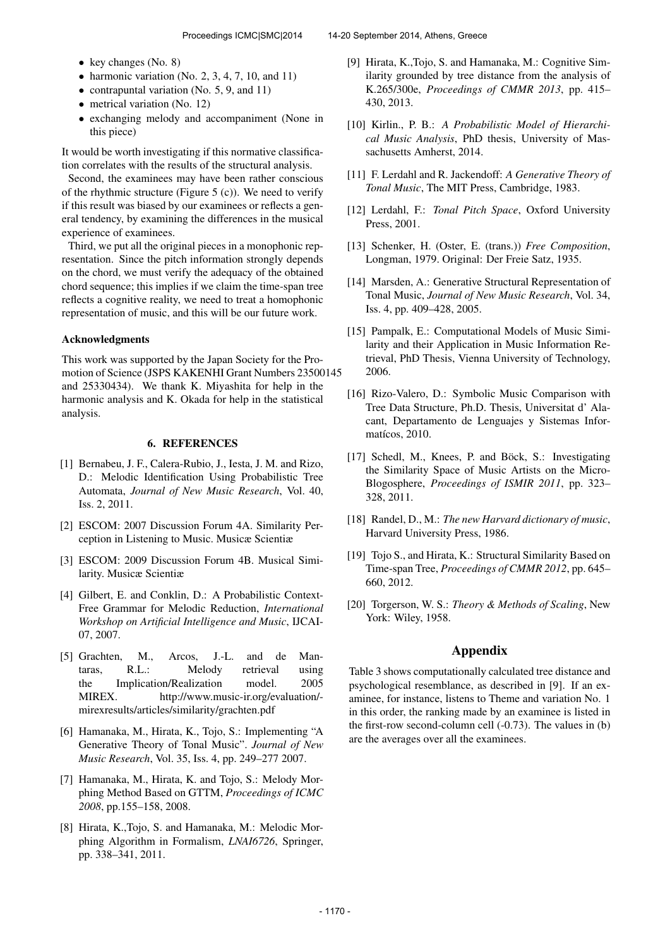- key changes (No. 8)
- harmonic variation (No. 2, 3, 4, 7, 10, and 11)
- contrapuntal variation (No. 5, 9, and 11)
- metrical variation (No. 12)
- exchanging melody and accompaniment (None in this piece)

It would be worth investigating if this normative classification correlates with the results of the structural analysis.

Second, the examinees may have been rather conscious of the rhythmic structure (Figure  $5$  (c)). We need to verify if this result was biased by our examinees or reflects a general tendency, by examining the differences in the musical experience of examinees.

Third, we put all the original pieces in a monophonic representation. Since the pitch information strongly depends on the chord, we must verify the adequacy of the obtained chord sequence; this implies if we claim the time-span tree reflects a cognitive reality, we need to treat a homophonic representation of music, and this will be our future work.

# Acknowledgments

This work was supported by the Japan Society for the Promotion of Science (JSPS KAKENHI Grant Numbers 23500145 and 25330434). We thank K. Miyashita for help in the harmonic analysis and K. Okada for help in the statistical analysis.

#### 6. REFERENCES

- [1] Bernabeu, J. F., Calera-Rubio, J., Iesta, J. M. and Rizo, D.: Melodic Identification Using Probabilistic Tree Automata, *Journal of New Music Research*, Vol. 40, Iss. 2, 2011.
- [2] ESCOM: 2007 Discussion Forum 4A. Similarity Perception in Listening to Music. Musicæ Scientiæ
- [3] ESCOM: 2009 Discussion Forum 4B. Musical Similarity. Musicæ Scientiæ
- [4] Gilbert, E. and Conklin, D.: A Probabilistic Context-Free Grammar for Melodic Reduction, *International Workshop on Artificial Intelligence and Music*, IJCAI-07, 2007.
- [5] Grachten, M., Arcos, J.-L. and de Mantaras, R.L.: Melody retrieval using the Implication/Realization model. 2005 MIREX. http://www.music-ir.org/evaluation/ mirexresults/articles/similarity/grachten.pdf
- [6] Hamanaka, M., Hirata, K., Tojo, S.: Implementing "A Generative Theory of Tonal Music". *Journal of New Music Research*, Vol. 35, Iss. 4, pp. 249–277 2007.
- [7] Hamanaka, M., Hirata, K. and Tojo, S.: Melody Morphing Method Based on GTTM, *Proceedings of ICMC 2008*, pp.155–158, 2008.
- [8] Hirata, K.,Tojo, S. and Hamanaka, M.: Melodic Morphing Algorithm in Formalism, *LNAI6726*, Springer, pp. 338–341, 2011.
- [9] Hirata, K.,Tojo, S. and Hamanaka, M.: Cognitive Similarity grounded by tree distance from the analysis of K.265/300e, *Proceedings of CMMR 2013*, pp. 415– 430, 2013.
- [10] Kirlin., P. B.: *A Probabilistic Model of Hierarchical Music Analysis*, PhD thesis, University of Massachusetts Amherst, 2014.
- [11] F. Lerdahl and R. Jackendoff: *A Generative Theory of Tonal Music*, The MIT Press, Cambridge, 1983.
- [12] Lerdahl, F.: *Tonal Pitch Space*, Oxford University Press, 2001.
- [13] Schenker, H. (Oster, E. (trans.)) *Free Composition*, Longman, 1979. Original: Der Freie Satz, 1935.
- [14] Marsden, A.: Generative Structural Representation of Tonal Music, *Journal of New Music Research*, Vol. 34, Iss. 4, pp. 409–428, 2005.
- [15] Pampalk, E.: Computational Models of Music Similarity and their Application in Music Information Retrieval, PhD Thesis, Vienna University of Technology, 2006.
- [16] Rizo-Valero, D.: Symbolic Music Comparison with Tree Data Structure, Ph.D. Thesis, Universitat d' Alacant, Departamento de Lenguajes y Sistemas Informatícos, 2010.
- [17] Schedl, M., Knees, P. and Böck, S.: Investigating the Similarity Space of Music Artists on the Micro-Blogosphere, *Proceedings of ISMIR 2011*, pp. 323– 328, 2011.
- [18] Randel, D., M.: *The new Harvard dictionary of music*, Harvard University Press, 1986.
- [19] Tojo S., and Hirata, K.: Structural Similarity Based on Time-span Tree, *Proceedings of CMMR 2012*, pp. 645– 660, 2012.
- [20] Torgerson, W. S.: *Theory & Methods of Scaling*, New York: Wiley, 1958.

# Appendix

Table 3 shows computationally calculated tree distance and psychological resemblance, as described in [9]. If an examinee, for instance, listens to Theme and variation No. 1 in this order, the ranking made by an examinee is listed in the first-row second-column cell (-0.73). The values in (b) are the averages over all the examinees.